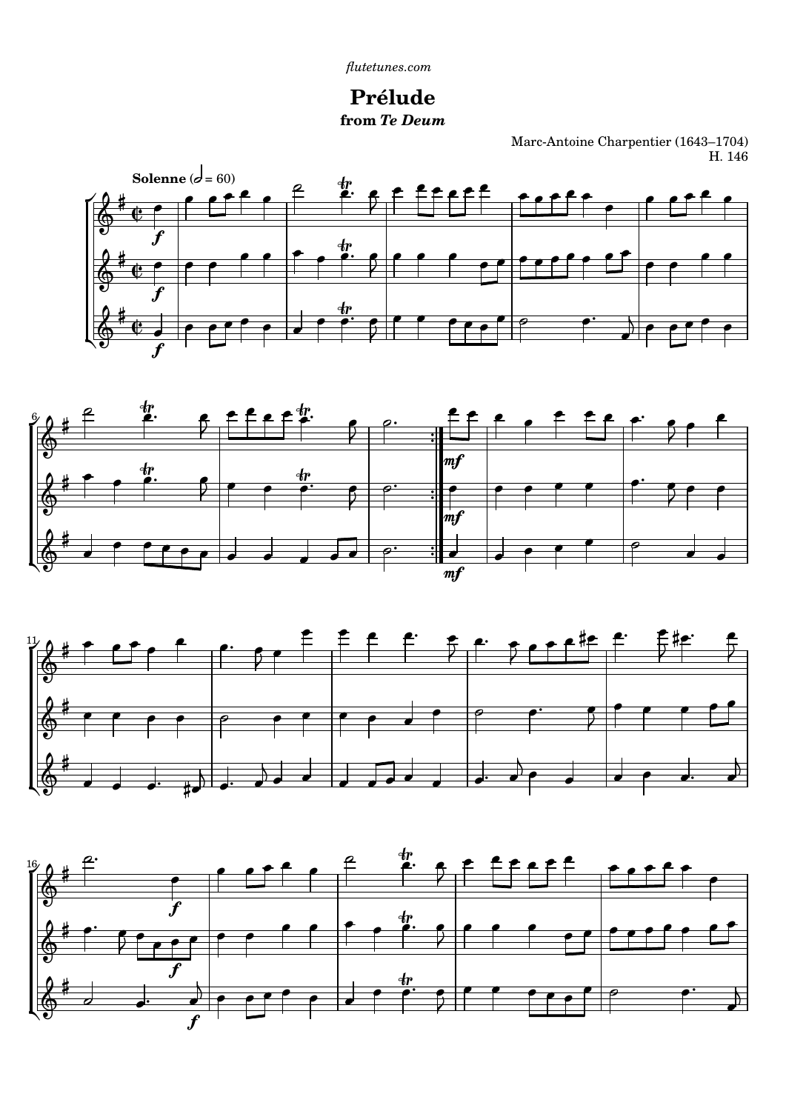

Marc-Antoine Charpentier (1643-1704) H. 146